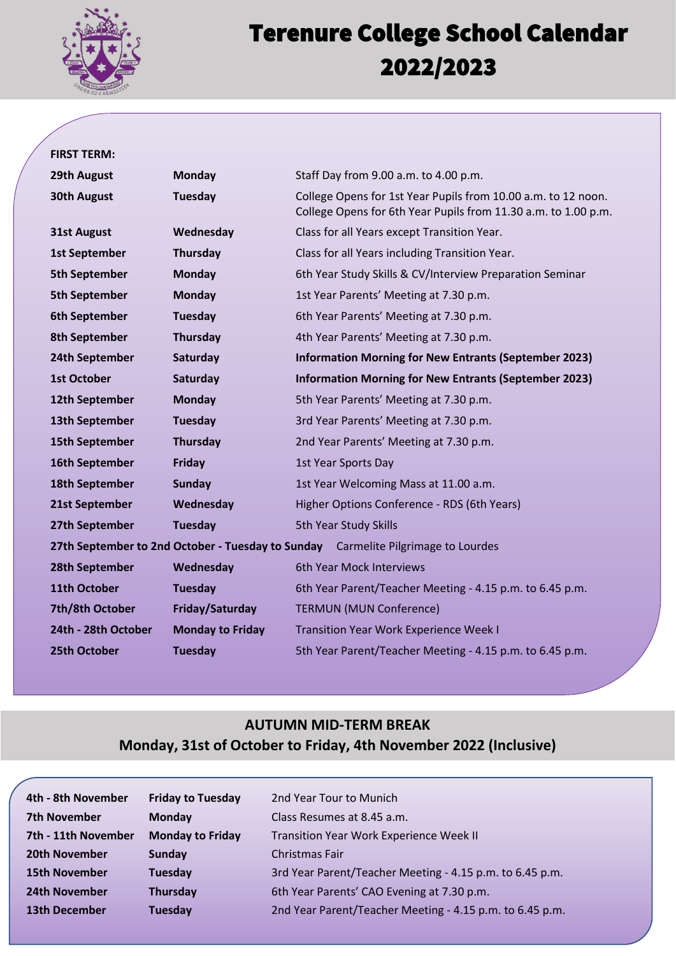

# $\frac{1}{1}$ Terenure College School Calendar 2022/2023

#### **FIRST TERM:**

| 29th August                                                                                 | <b>Monday</b>           | Staff Day from 9.00 a.m. to 4.00 p.m.                                                                                           |  |
|---------------------------------------------------------------------------------------------|-------------------------|---------------------------------------------------------------------------------------------------------------------------------|--|
| <b>30th August</b>                                                                          | Tuesday                 | College Opens for 1st Year Pupils from 10.00 a.m. to 12 noon.<br>College Opens for 6th Year Pupils from 11.30 a.m. to 1.00 p.m. |  |
| <b>31st August</b>                                                                          | Wednesday               | Class for all Years except Transition Year.                                                                                     |  |
| <b>1st September</b>                                                                        | <b>Thursday</b>         | Class for all Years including Transition Year.                                                                                  |  |
| <b>5th September</b>                                                                        | <b>Monday</b>           | 6th Year Study Skills & CV/Interview Preparation Seminar                                                                        |  |
| <b>5th September</b>                                                                        | <b>Monday</b>           | 1st Year Parents' Meeting at 7.30 p.m.                                                                                          |  |
| <b>6th September</b>                                                                        | <b>Tuesday</b>          | 6th Year Parents' Meeting at 7.30 p.m.                                                                                          |  |
| 8th September                                                                               | <b>Thursday</b>         | 4th Year Parents' Meeting at 7.30 p.m.                                                                                          |  |
| 24th September                                                                              | Saturday                | <b>Information Morning for New Entrants (September 2023)</b>                                                                    |  |
| <b>1st October</b>                                                                          | Saturday                | <b>Information Morning for New Entrants (September 2023)</b>                                                                    |  |
| 12th September                                                                              | <b>Monday</b>           | 5th Year Parents' Meeting at 7.30 p.m.                                                                                          |  |
| 13th September                                                                              | Tuesday                 | 3rd Year Parents' Meeting at 7.30 p.m.                                                                                          |  |
| <b>15th September</b>                                                                       | <b>Thursday</b>         | 2nd Year Parents' Meeting at 7.30 p.m.                                                                                          |  |
| 16th September                                                                              | <b>Friday</b>           | 1st Year Sports Day                                                                                                             |  |
| 18th September                                                                              | Sunday                  | 1st Year Welcoming Mass at 11.00 a.m.                                                                                           |  |
| 21st September                                                                              | Wednesday               | Higher Options Conference - RDS (6th Years)                                                                                     |  |
| 27th September                                                                              | <b>Tuesday</b>          | 5th Year Study Skills                                                                                                           |  |
| 27th September to 2nd October - Tuesday to Sunday<br><b>Carmelite Pilgrimage to Lourdes</b> |                         |                                                                                                                                 |  |
| 28th September                                                                              | Wednesday               | 6th Year Mock Interviews                                                                                                        |  |
| 11th October                                                                                | <b>Tuesday</b>          | 6th Year Parent/Teacher Meeting - 4.15 p.m. to 6.45 p.m.                                                                        |  |
| 7th/8th October                                                                             | Friday/Saturday         | <b>TERMUN (MUN Conference)</b>                                                                                                  |  |
| 24th - 28th October                                                                         | <b>Monday to Friday</b> | <b>Transition Year Work Experience Week I</b>                                                                                   |  |
| 25th October                                                                                | <b>Tuesday</b>          | 5th Year Parent/Teacher Meeting - 4.15 p.m. to 6.45 p.m.                                                                        |  |

### **AUTUMN MID-TERM BREAK Monday, 31st of October to Friday, 4th November 2022 (Inclusive)**

| <b>Friday to Tuesday</b> | 2nd Year Tour to Munich                                  |
|--------------------------|----------------------------------------------------------|
| Monday                   | Class Resumes at 8.45 a.m.                               |
| <b>Monday to Friday</b>  | <b>Transition Year Work Experience Week II</b>           |
| Sunday                   | Christmas Fair                                           |
| Tuesday                  | 3rd Year Parent/Teacher Meeting - 4.15 p.m. to 6.45 p.m. |
| <b>Thursday</b>          | 6th Year Parents' CAO Evening at 7.30 p.m.               |
| <b>Tuesday</b>           | 2nd Year Parent/Teacher Meeting - 4.15 p.m. to 6.45 p.m. |
|                          |                                                          |